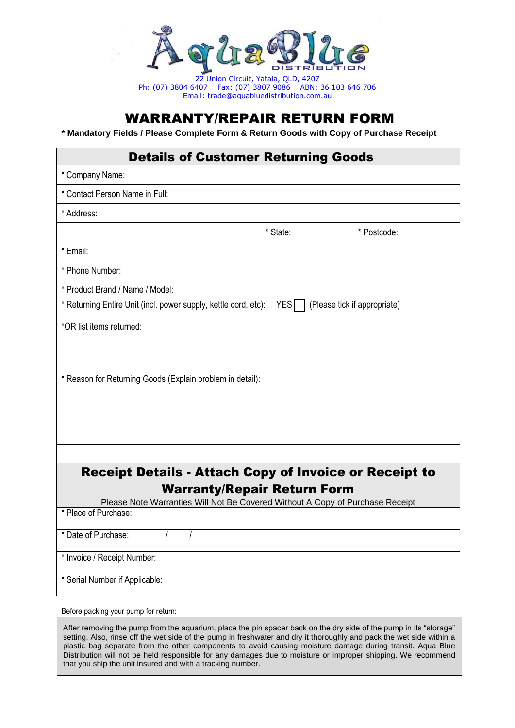

22 Union Circuit, Yatala, QLD, 4207 Ph: (07) 3804 6407 Fax: (07) 3807 9086 ABN: 36 103 646 706 Email: [trade@aquabluedistribution.com.au](mailto:trade@aquabluedistribution.com.au)

## WARRANTY/REPAIR RETURN FORM

**\* Mandatory Fields / Please Complete Form & Return Goods with Copy of Purchase Receipt**

## Details of Customer Returning Goods

| * Company Name:                                                                                                     |          |                              |  |  |
|---------------------------------------------------------------------------------------------------------------------|----------|------------------------------|--|--|
| * Contact Person Name in Full:                                                                                      |          |                              |  |  |
| * Address:                                                                                                          |          |                              |  |  |
|                                                                                                                     | * State: | * Postcode:                  |  |  |
| * Email:                                                                                                            |          |                              |  |  |
| * Phone Number:                                                                                                     |          |                              |  |  |
| * Product Brand / Name / Model:                                                                                     |          |                              |  |  |
| * Returning Entire Unit (incl. power supply, kettle cord, etc):                                                     | YES      | (Please tick if appropriate) |  |  |
| *OR list items returned:                                                                                            |          |                              |  |  |
|                                                                                                                     |          |                              |  |  |
|                                                                                                                     |          |                              |  |  |
| * Reason for Returning Goods (Explain problem in detail):                                                           |          |                              |  |  |
|                                                                                                                     |          |                              |  |  |
|                                                                                                                     |          |                              |  |  |
|                                                                                                                     |          |                              |  |  |
|                                                                                                                     |          |                              |  |  |
| <b>Receipt Details - Attach Copy of Invoice or Receipt to</b>                                                       |          |                              |  |  |
| <b>Warranty/Repair Return Form</b><br>Please Note Warranties Will Not Be Covered Without A Copy of Purchase Receipt |          |                              |  |  |
| * Place of Purchase:                                                                                                |          |                              |  |  |
| * Date of Purchase:<br>$\prime$<br>$\prime$                                                                         |          |                              |  |  |
| * Invoice / Receipt Number:                                                                                         |          |                              |  |  |
|                                                                                                                     |          |                              |  |  |
| * Serial Number if Applicable:                                                                                      |          |                              |  |  |

Before packing your pump for return:

After removing the pump from the aquarium, place the pin spacer back on the dry side of the pump in its "storage" setting. Also, rinse off the wet side of the pump in freshwater and dry it thoroughly and pack the wet side within a plastic bag separate from the other components to avoid causing moisture damage during transit. Aqua Blue Distribution will not be held responsible for any damages due to moisture or improper shipping. We recommend that you ship the unit insured and with a tracking number.